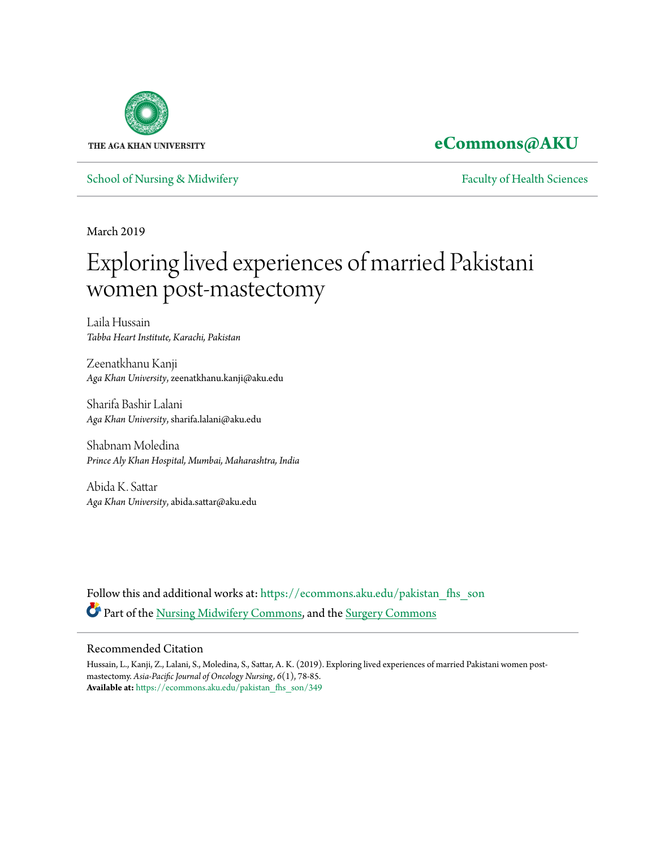

**[eCommons@AKU](https://ecommons.aku.edu?utm_source=ecommons.aku.edu%2Fpakistan_fhs_son%2F349&utm_medium=PDF&utm_campaign=PDFCoverPages)**

[School of Nursing & Midwifery](https://ecommons.aku.edu/pakistan_fhs_son?utm_source=ecommons.aku.edu%2Fpakistan_fhs_son%2F349&utm_medium=PDF&utm_campaign=PDFCoverPages) **[Faculty of Health Sciences](https://ecommons.aku.edu/pakistan_fhs?utm_source=ecommons.aku.edu%2Fpakistan_fhs_son%2F349&utm_medium=PDF&utm_campaign=PDFCoverPages)** Faculty of Health Sciences

March 2019

## Exploring lived experiences of married Pakistani women post-mastectomy

Laila Hussain *Tabba Heart Institute, Karachi, Pakistan*

Zeenatkhanu Kanji *Aga Khan University*, zeenatkhanu.kanji@aku.edu

Sharifa Bashir Lalani *Aga Khan University*, sharifa.lalani@aku.edu

Shabnam Moledina *Prince Aly Khan Hospital, Mumbai, Maharashtra, India*

Abida K. Sattar *Aga Khan University*, abida.sattar@aku.edu

Follow this and additional works at: [https://ecommons.aku.edu/pakistan\\_fhs\\_son](https://ecommons.aku.edu/pakistan_fhs_son?utm_source=ecommons.aku.edu%2Fpakistan_fhs_son%2F349&utm_medium=PDF&utm_campaign=PDFCoverPages) Part of the [Nursing Midwifery Commons,](http://network.bepress.com/hgg/discipline/722?utm_source=ecommons.aku.edu%2Fpakistan_fhs_son%2F349&utm_medium=PDF&utm_campaign=PDFCoverPages) and the [Surgery Commons](http://network.bepress.com/hgg/discipline/706?utm_source=ecommons.aku.edu%2Fpakistan_fhs_son%2F349&utm_medium=PDF&utm_campaign=PDFCoverPages)

#### Recommended Citation

Hussain, L., Kanji, Z., Lalani, S., Moledina, S., Sattar, A. K. (2019). Exploring lived experiences of married Pakistani women postmastectomy. *Asia-Pacific Journal of Oncology Nursing, 6*(1), 78-85. **Available at:** [https://ecommons.aku.edu/pakistan\\_fhs\\_son/349](https://ecommons.aku.edu/pakistan_fhs_son/349)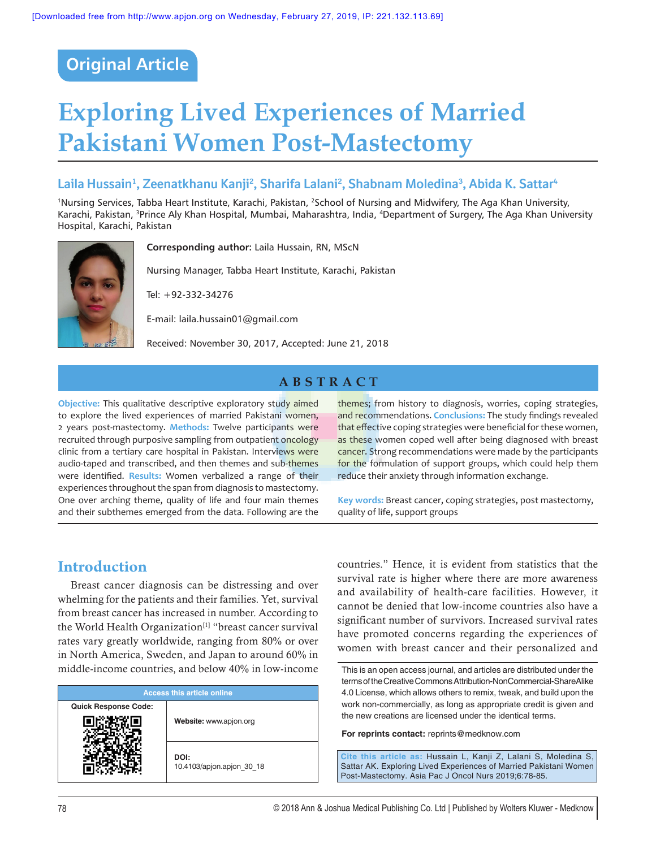## **Original Article**

# **Exploring Lived Experiences of Married Pakistani Women Post‑Mastectomy**

## **Laila Hussain1 , Zeenatkhanu Kanji2 , Sharifa Lalani2 , Shabnam Moledina3 , Abida K. Sattar4**

1Nursing Services, Tabba Heart Institute, Karachi, Pakistan, 2School of Nursing and Midwifery, The Aga Khan University, Karachi, Pakistan, <sup>3</sup>Prince Aly Khan Hospital, Mumbai, Maharashtra, India, <sup>4</sup>Department of Surgery, The Aga Khan University Hospital, Karachi, Pakistan



**Corresponding author:** Laila Hussain, RN, MScN

Nursing Manager, Tabba Heart Institute, Karachi, Pakistan

Tel: +92-332-34276

E‑mail: laila.hussain01@gmail.com

Received: November 30, 2017, Accepted: June 21, 2018

### **ABSTRACT**

**Objective:** This qualitative descriptive exploratory study aimed to explore the lived experiences of married Pakistani women, 2 years post‑mastectomy. **Methods:** Twelve participants were recruited through purposive sampling from outpatient oncology clinic from a tertiary care hospital in Pakistan. Interviews were audio-taped and transcribed, and then themes and sub-themes were identified. **Results:** Women verbalized a range of their experiences throughout the span from diagnosis to mastectomy. One over arching theme, quality of life and four main themes and their subthemes emerged from the data. Following are the

## **Introduction**

Breast cancer diagnosis can be distressing and over whelming for the patients and their families. Yet, survival from breast cancer has increased in number. According to the World Health Organization<sup>[1]</sup> "breast cancer survival rates vary greatly worldwide, ranging from 80% or over in North America, Sweden, and Japan to around 60% in middle‑income countries, and below 40% in low-income

| <b>Access this article online</b> |                                   |  |
|-----------------------------------|-----------------------------------|--|
| <b>Quick Response Code:</b>       | Website: www.apjon.org            |  |
|                                   |                                   |  |
|                                   | DOI:<br>10.4103/apjon.apjon 30 18 |  |

themes; from history to diagnosis, worries, coping strategies, and recommendations. **Conclusions:** The study findings revealed that effective coping strategies were beneficial for these women, as these women coped well after being diagnosed with breast cancer. Strong recommendations were made by the participants for the formulation of support groups, which could help them reduce their anxiety through information exchange.

**Key words:** Breast cancer, coping strategies, post mastectomy, quality of life, support groups

countries." Hence, it is evident from statistics that the survival rate is higher where there are more awareness and availability of health-care facilities. However, it cannot be denied that low‑income countries also have a significant number of survivors. Increased survival rates have promoted concerns regarding the experiences of women with breast cancer and their personalized and

**For reprints contact:** reprints@medknow.com

**Cite this article as:** Hussain L, Kanji Z, Lalani S, Moledina S, Sattar AK. Exploring Lived Experiences of Married Pakistani Women Post-Mastectomy. Asia Pac J Oncol Nurs 2019;6:78-85.

This is an open access journal, and articles are distributed under the terms of the Creative Commons Attribution-NonCommercial-ShareAlike 4.0 License, which allows others to remix, tweak, and build upon the work non-commercially, as long as appropriate credit is given and the new creations are licensed under the identical terms.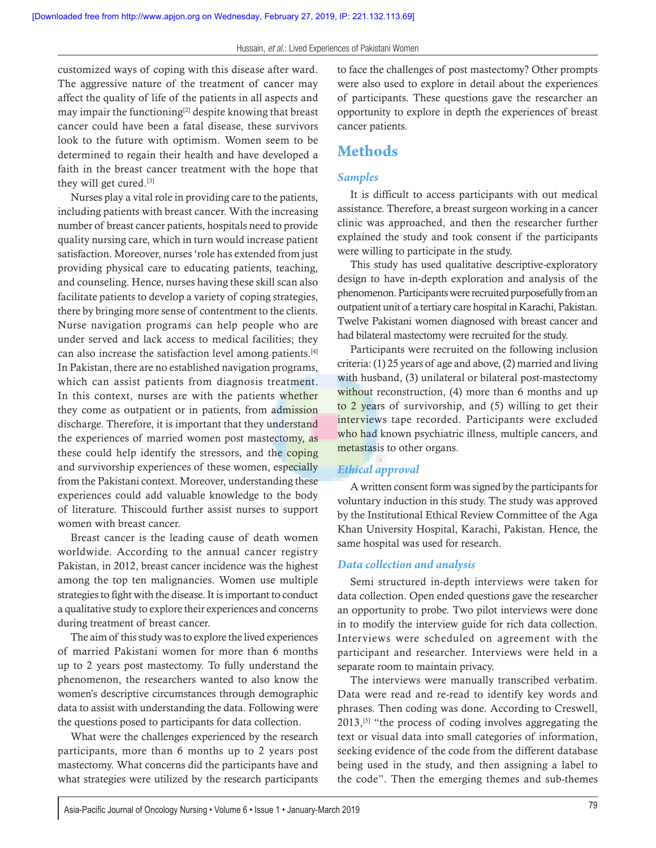customized ways of coping with this disease after ward. The aggressive nature of the treatment of cancer may affect the quality of life of the patients in all aspects and may impair the functioning[2] despite knowing that breast cancer could have been a fatal disease, these survivors look to the future with optimism. Women seem to be determined to regain their health and have developed a faith in the breast cancer treatment with the hope that they will get cured.[3]

Nurses play a vital role in providing care to the patients, including patients with breast cancer. With the increasing number of breast cancer patients, hospitals need to provide quality nursing care, which in turn would increase patient satisfaction. Moreover, nurses 'role has extended from just providing physical care to educating patients, teaching, and counseling. Hence, nurses having these skill scan also facilitate patients to develop a variety of coping strategies, there by bringing more sense of contentment to the clients. Nurse navigation programs can help people who are under served and lack access to medical facilities; they can also increase the satisfaction level among patients.[4] In Pakistan, there are no established navigation programs, which can assist patients from diagnosis treatment. In this context, nurses are with the patients whether they come as outpatient or in patients, from admission discharge. Therefore, it is important that they understand the experiences of married women post mastectomy, as these could help identify the stressors, and the coping and survivorship experiences of these women, especially from the Pakistani context. Moreover, understanding these experiences could add valuable knowledge to the body of literature. Thiscould further assist nurses to support women with breast cancer.

Breast cancer is the leading cause of death women worldwide. According to the annual cancer registry Pakistan, in 2012, breast cancer incidence was the highest among the top ten malignancies. Women use multiple strategies to fight with the disease. It is important to conduct a qualitative study to explore their experiences and concerns during treatment of breast cancer.

The aim of this study was to explore the lived experiences of married Pakistani women for more than 6 months up to 2 years post mastectomy. To fully understand the phenomenon, the researchers wanted to also know the women's descriptive circumstances through demographic data to assist with understanding the data. Following were the questions posed to participants for data collection.

What were the challenges experienced by the research participants, more than 6 months up to 2 years post mastectomy. What concerns did the participants have and what strategies were utilized by the research participants to face the challenges of post mastectomy? Other prompts were also used to explore in detail about the experiences of participants. These questions gave the researcher an opportunity to explore in depth the experiences of breast cancer patients.

## **Methods**

#### *Samples*

It is difficult to access participants with out medical assistance. Therefore, a breast surgeon working in a cancer clinic was approached, and then the researcher further explained the study and took consent if the participants were willing to participate in the study.

This study has used qualitative descriptive-exploratory design to have in‑depth exploration and analysis of the phenomenon. Participants were recruited purposefully from an outpatient unit of a tertiary care hospital in Karachi, Pakistan. Twelve Pakistani women diagnosed with breast cancer and had bilateral mastectomy were recruited for the study.

Participants were recruited on the following inclusion criteria: (1) 25 years of age and above, (2) married and living with husband, (3) unilateral or bilateral post-mastectomy without reconstruction, (4) more than 6 months and up to 2 years of survivorship, and (5) willing to get their interviews tape recorded. Participants were excluded who had known psychiatric illness, multiple cancers, and metastasis to other organs.

#### *Ethical approval*

A written consent form was signed by the participants for voluntary induction in this study. The study was approved by the Institutional Ethical Review Committee of the Aga Khan University Hospital, Karachi, Pakistan. Hence, the same hospital was used for research.

#### *Data collection and analysis*

Semi structured in‑depth interviews were taken for data collection. Open ended questions gave the researcher an opportunity to probe. Two pilot interviews were done in to modify the interview guide for rich data collection. Interviews were scheduled on agreement with the participant and researcher. Interviews were held in a separate room to maintain privacy.

The interviews were manually transcribed verbatim. Data were read and re‑read to identify key words and phrases. Then coding was done. According to Creswell, 2013,[5] "the process of coding involves aggregating the text or visual data into small categories of information, seeking evidence of the code from the different database being used in the study, and then assigning a label to the code". Then the emerging themes and sub-themes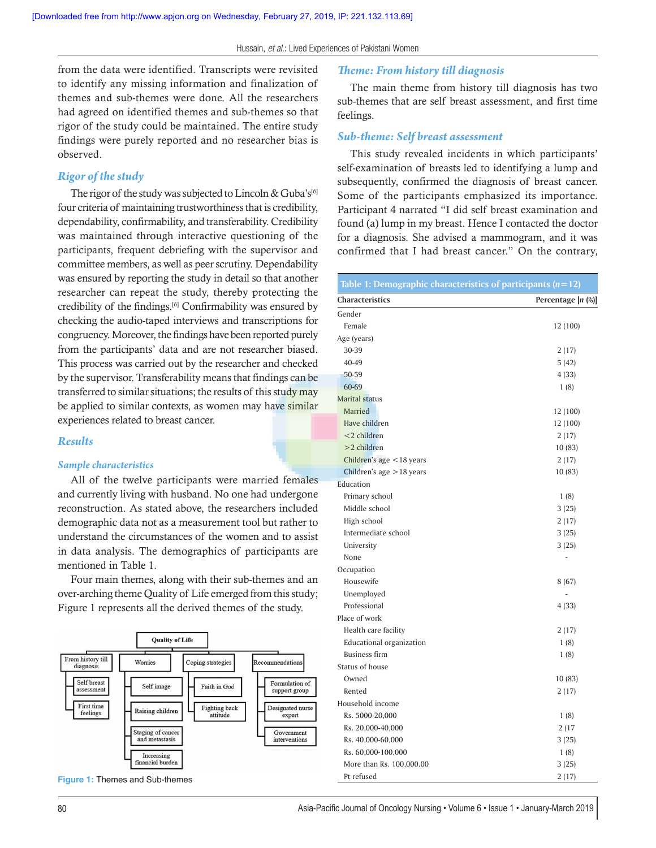#### from the data were identified. Transcripts were revisited to identify any missing information and finalization of themes and sub‑themes were done. All the researchers had agreed on identified themes and sub-themes so that rigor of the study could be maintained. The entire study findings were purely reported and no researcher bias is observed.

#### *Rigor of the study*

The rigor of the study was subjected to Lincoln & Guba's<sup>[6]</sup> four criteria of maintaining trustworthiness that is credibility, dependability, confirmability, and transferability. Credibility was maintained through interactive questioning of the participants, frequent debriefing with the supervisor and committee members, as well as peer scrutiny. Dependability was ensured by reporting the study in detail so that another researcher can repeat the study, thereby protecting the credibility of the findings.<sup>[6]</sup> Confirmability was ensured by checking the audio‑taped interviews and transcriptions for congruency. Moreover, the findings have been reported purely from the participants' data and are not researcher biased. This process was carried out by the researcher and checked by the supervisor. Transferability means that findings can be transferred to similar situations; the results of this study may be applied to similar contexts, as women may have similar experiences related to breast cancer.

#### *Results*

#### *Sample characteristics*

All of the twelve participants were married females and currently living with husband. No one had undergone reconstruction. As stated above, the researchers included demographic data not as a measurement tool but rather to understand the circumstances of the women and to assist in data analysis. The demographics of participants are mentioned in Table 1.

Four main themes, along with their sub-themes and an over-arching theme Quality of Life emerged from this study; Figure 1 represents all the derived themes of the study.





#### *Theme: From history till diagnosis*

The main theme from history till diagnosis has two sub-themes that are self breast assessment, and first time feelings.

#### *Sub-theme: Self breast assessment*

This study revealed incidents in which participants' self-examination of breasts led to identifying a lump and subsequently, confirmed the diagnosis of breast cancer. Some of the participants emphasized its importance. Participant 4 narrated "I did self breast examination and found (a) lump in my breast. Hence I contacted the doctor for a diagnosis. She advised a mammogram, and it was confirmed that I had breast cancer." On the contrary,

| Table 1: Demographic characteristics of participants $(n=12)$ |                    |
|---------------------------------------------------------------|--------------------|
| <b>Characteristics</b>                                        | Percentage [n (%)] |
| Gender                                                        |                    |
| Female                                                        | 12 (100)           |
| Age (years)                                                   |                    |
| 30-39                                                         | 2(17)              |
| 40-49                                                         | 5(42)              |
| 50-59                                                         | 4(33)              |
| 60-69                                                         | 1(8)               |
| <b>Marital status</b>                                         |                    |
| Married                                                       | 12 (100)           |
| Have children                                                 | 12 (100)           |
| $<$ 2 children                                                | 2(17)              |
| $>2$ children                                                 | 10(83)             |
| Children's age <18 years                                      | 2(17)              |
| Children's age $>18$ years                                    | 10 (83)            |
| Education                                                     |                    |
| Primary school                                                | 1(8)               |
| Middle school                                                 | 3(25)              |
| High school                                                   | 2(17)              |
| Intermediate school                                           | 3(25)              |
| University                                                    | 3(25)              |
| None                                                          |                    |
| Occupation                                                    |                    |
| Housewife                                                     | 8(67)              |
| Unemployed                                                    |                    |
| Professional                                                  | 4(33)              |
| Place of work                                                 |                    |
| Health care facility                                          | 2(17)              |
| Educational organization                                      | 1(8)               |
| <b>Business firm</b>                                          | 1(8)               |
| Status of house                                               |                    |
| Owned                                                         | 10 (83)            |
| Rented                                                        | 2(17)              |
| Household income                                              |                    |
| Rs. 5000-20,000                                               | 1(8)               |
| Rs. 20,000-40,000                                             | 2(17)              |
| Rs. 40,000-60,000                                             | 3(25)              |
| Rs. 60,000-100,000                                            | 1(8)               |
| More than Rs. 100,000.00                                      | 3(25)              |
| Pt refused                                                    | 2 (17)             |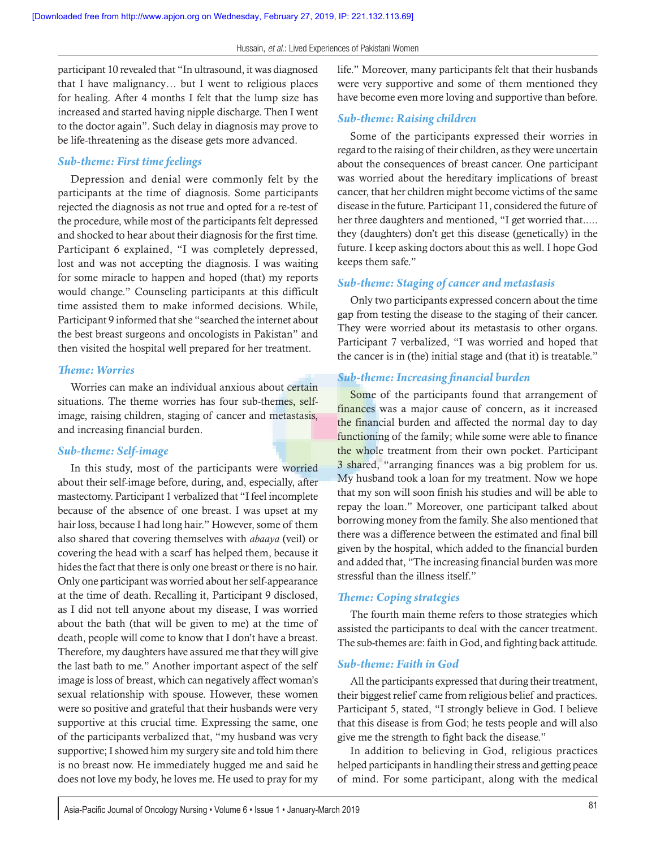participant 10 revealed that "In ultrasound, it was diagnosed that I have malignancy… but I went to religious places for healing. After 4 months I felt that the lump size has increased and started having nipple discharge. Then I went to the doctor again". Such delay in diagnosis may prove to be life-threatening as the disease gets more advanced.

#### *Sub-theme: First time feelings*

Depression and denial were commonly felt by the participants at the time of diagnosis. Some participants rejected the diagnosis as not true and opted for a re‑test of the procedure, while most of the participants felt depressed and shocked to hear about their diagnosis for the first time. Participant 6 explained, "I was completely depressed, lost and was not accepting the diagnosis. I was waiting for some miracle to happen and hoped (that) my reports would change." Counseling participants at this difficult time assisted them to make informed decisions. While, Participant 9 informed that she "searched the internet about the best breast surgeons and oncologists in Pakistan" and then visited the hospital well prepared for her treatment.

#### *Theme: Worries*

Worries can make an individual anxious about certain situations. The theme worries has four sub-themes, selfimage, raising children, staging of cancer and metastasis, and increasing financial burden.

#### *Sub-theme: Self‑image*

In this study, most of the participants were worried about their self-image before, during, and, especially, after mastectomy. Participant 1 verbalized that "I feel incomplete because of the absence of one breast. I was upset at my hair loss, because I had long hair." However, some of them also shared that covering themselves with *abaaya* (veil) or covering the head with a scarf has helped them, because it hides the fact that there is only one breast or there is no hair. Only one participant was worried about her self‑appearance at the time of death. Recalling it, Participant 9 disclosed, as I did not tell anyone about my disease, I was worried about the bath (that will be given to me) at the time of death, people will come to know that I don't have a breast. Therefore, my daughters have assured me that they will give the last bath to me." Another important aspect of the self image is loss of breast, which can negatively affect woman's sexual relationship with spouse. However, these women were so positive and grateful that their husbands were very supportive at this crucial time. Expressing the same, one of the participants verbalized that, "my husband was very supportive; I showed him my surgery site and told him there is no breast now. He immediately hugged me and said he does not love my body, he loves me. He used to pray for my

life." Moreover, many participants felt that their husbands were very supportive and some of them mentioned they have become even more loving and supportive than before.

#### *Sub-theme: Raising children*

Some of the participants expressed their worries in regard to the raising of their children, as they were uncertain about the consequences of breast cancer. One participant was worried about the hereditary implications of breast cancer, that her children might become victims of the same disease in the future. Participant 11, considered the future of her three daughters and mentioned, "I get worried that..... they (daughters) don't get this disease (genetically) in the future. I keep asking doctors about this as well. I hope God keeps them safe."

#### *Sub-theme: Staging of cancer and metastasis*

Only two participants expressed concern about the time gap from testing the disease to the staging of their cancer. They were worried about its metastasis to other organs. Participant 7 verbalized, "I was worried and hoped that the cancer is in (the) initial stage and (that it) is treatable."

#### *Sub-theme: Increasing financial burden*

Some of the participants found that arrangement of finances was a major cause of concern, as it increased the financial burden and affected the normal day to day functioning of the family; while some were able to finance the whole treatment from their own pocket. Participant 3 shared, "arranging finances was a big problem for us. My husband took a loan for my treatment. Now we hope that my son will soon finish his studies and will be able to repay the loan." Moreover, one participant talked about borrowing money from the family. She also mentioned that there was a difference between the estimated and final bill given by the hospital, which added to the financial burden and added that, "The increasing financial burden was more stressful than the illness itself."

#### *Theme: Coping strategies*

The fourth main theme refers to those strategies which assisted the participants to deal with the cancer treatment. The sub-themes are: faith in God, and fighting back attitude.

#### *Sub-theme: Faith in God*

All the participants expressed that during their treatment, their biggest relief came from religious belief and practices. Participant 5, stated, "I strongly believe in God. I believe that this disease is from God; he tests people and will also give me the strength to fight back the disease."

In addition to believing in God, religious practices helped participants in handling their stress and getting peace of mind. For some participant, along with the medical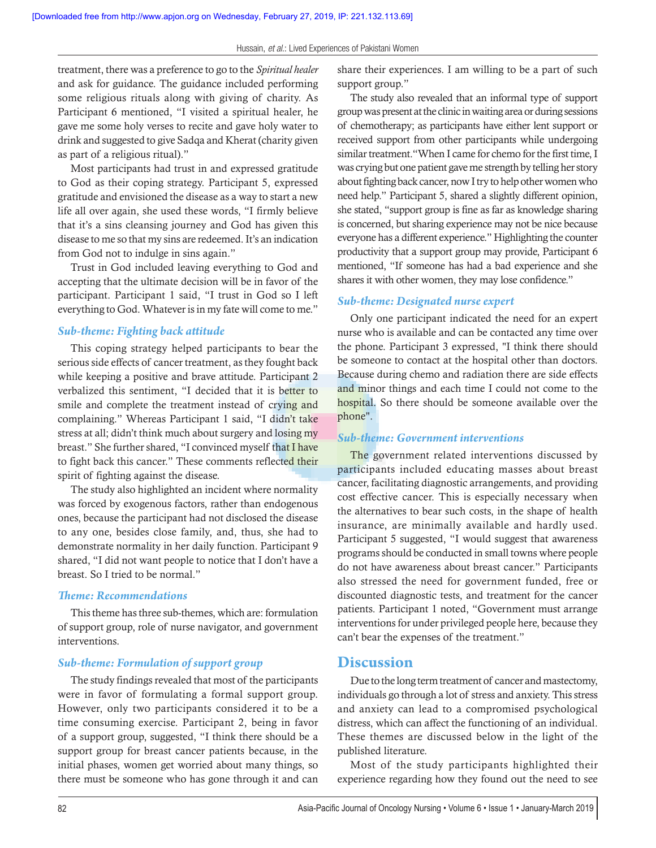treatment, there was a preference to go to the *Spiritual healer* and ask for guidance. The guidance included performing some religious rituals along with giving of charity. As Participant 6 mentioned, "I visited a spiritual healer, he gave me some holy verses to recite and gave holy water to drink and suggested to give Sadqa and Kherat (charity given as part of a religious ritual)."

Most participants had trust in and expressed gratitude to God as their coping strategy. Participant 5, expressed gratitude and envisioned the disease as a way to start a new life all over again, she used these words, "I firmly believe that it's a sins cleansing journey and God has given this disease to me so that my sins are redeemed. It's an indication from God not to indulge in sins again."

Trust in God included leaving everything to God and accepting that the ultimate decision will be in favor of the participant. Participant 1 said, "I trust in God so I left everything to God. Whatever is in my fate will come to me."

#### *Sub-theme: Fighting back attitude*

This coping strategy helped participants to bear the serious side effects of cancer treatment, as they fought back while keeping a positive and brave attitude. Participant 2 verbalized this sentiment, "I decided that it is better to smile and complete the treatment instead of crying and complaining." Whereas Participant 1 said, "I didn't take stress at all; didn't think much about surgery and losing my breast." She further shared, "I convinced myself that I have to fight back this cancer." These comments reflected their spirit of fighting against the disease.

The study also highlighted an incident where normality was forced by exogenous factors, rather than endogenous ones, because the participant had not disclosed the disease to any one, besides close family, and, thus, she had to demonstrate normality in her daily function. Participant 9 shared, "I did not want people to notice that I don't have a breast. So I tried to be normal."

#### *Theme: Recommendations*

This theme has three sub-themes, which are: formulation of support group, role of nurse navigator, and government interventions.

#### *Sub-theme: Formulation of support group*

The study findings revealed that most of the participants were in favor of formulating a formal support group. However, only two participants considered it to be a time consuming exercise. Participant 2, being in favor of a support group, suggested, "I think there should be a support group for breast cancer patients because, in the initial phases, women get worried about many things, so there must be someone who has gone through it and can share their experiences. I am willing to be a part of such support group."

The study also revealed that an informal type of support group was present at the clinic in waiting area or during sessions of chemotherapy; as participants have either lent support or received support from other participants while undergoing similar treatment."When I came for chemo for the first time, I was crying but one patient gave me strength by telling her story about fighting back cancer, now I try to help other women who need help." Participant 5, shared a slightly different opinion, she stated, "support group is fine as far as knowledge sharing is concerned, but sharing experience may not be nice because everyone has a different experience." Highlighting the counter productivity that a support group may provide, Participant 6 mentioned, "If someone has had a bad experience and she shares it with other women, they may lose confidence."

#### *Sub-theme: Designated nurse expert*

Only one participant indicated the need for an expert nurse who is available and can be contacted any time over the phone. Participant 3 expressed, "I think there should be someone to contact at the hospital other than doctors. Because during chemo and radiation there are side effects and minor things and each time I could not come to the hospital. So there should be someone available over the phone".

#### *Sub-theme: Government interventions*

The government related interventions discussed by participants included educating masses about breast cancer, facilitating diagnostic arrangements, and providing cost effective cancer. This is especially necessary when the alternatives to bear such costs, in the shape of health insurance, are minimally available and hardly used. Participant 5 suggested, "I would suggest that awareness programs should be conducted in small towns where people do not have awareness about breast cancer." Participants also stressed the need for government funded, free or discounted diagnostic tests, and treatment for the cancer patients. Participant 1 noted, "Government must arrange interventions for under privileged people here, because they can't bear the expenses of the treatment."

#### **Discussion**

Due to the long term treatment of cancer and mastectomy, individuals go through a lot of stress and anxiety. This stress and anxiety can lead to a compromised psychological distress, which can affect the functioning of an individual. These themes are discussed below in the light of the published literature.

Most of the study participants highlighted their experience regarding how they found out the need to see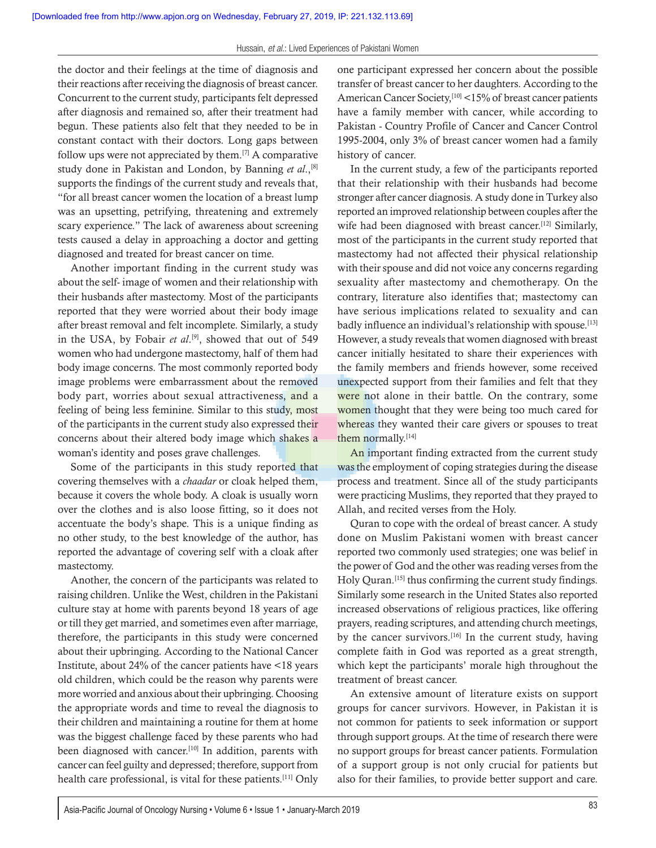the doctor and their feelings at the time of diagnosis and their reactions after receiving the diagnosis of breast cancer. Concurrent to the current study, participants felt depressed after diagnosis and remained so, after their treatment had begun. These patients also felt that they needed to be in constant contact with their doctors. Long gaps between follow ups were not appreciated by them.<sup>[7]</sup> A comparative study done in Pakistan and London, by Banning *et al*.,[8] supports the findings of the current study and reveals that, "for all breast cancer women the location of a breast lump was an upsetting, petrifying, threatening and extremely scary experience." The lack of awareness about screening tests caused a delay in approaching a doctor and getting diagnosed and treated for breast cancer on time.

Another important finding in the current study was about the self‑ image of women and their relationship with their husbands after mastectomy. Most of the participants reported that they were worried about their body image after breast removal and felt incomplete. Similarly, a study in the USA, by Fobair *et al*. [9], showed that out of 549 women who had undergone mastectomy, half of them had body image concerns. The most commonly reported body image problems were embarrassment about the removed body part, worries about sexual attractiveness, and a feeling of being less feminine. Similar to this study, most of the participants in the current study also expressed their concerns about their altered body image which shakes a woman's identity and poses grave challenges.

Some of the participants in this study reported that covering themselves with a *chaadar* or cloak helped them, because it covers the whole body. A cloak is usually worn over the clothes and is also loose fitting, so it does not accentuate the body's shape. This is a unique finding as no other study, to the best knowledge of the author, has reported the advantage of covering self with a cloak after mastectomy.

Another, the concern of the participants was related to raising children. Unlike the West, children in the Pakistani culture stay at home with parents beyond 18 years of age or till they get married, and sometimes even after marriage, therefore, the participants in this study were concerned about their upbringing. According to the National Cancer Institute, about 24% of the cancer patients have <18 years old children, which could be the reason why parents were more worried and anxious about their upbringing. Choosing the appropriate words and time to reveal the diagnosis to their children and maintaining a routine for them at home was the biggest challenge faced by these parents who had been diagnosed with cancer.<sup>[10]</sup> In addition, parents with cancer can feel guilty and depressed; therefore, support from health care professional, is vital for these patients.<sup>[11]</sup> Only

one participant expressed her concern about the possible transfer of breast cancer to her daughters. According to the American Cancer Society,<sup>[10]</sup> <15% of breast cancer patients have a family member with cancer, while according to Pakistan ‑ Country Profile of Cancer and Cancer Control 1995‑2004, only 3% of breast cancer women had a family history of cancer.

In the current study, a few of the participants reported that their relationship with their husbands had become stronger after cancer diagnosis. A study done in Turkey also reported an improved relationship between couples after the wife had been diagnosed with breast cancer.<sup>[12]</sup> Similarly, most of the participants in the current study reported that mastectomy had not affected their physical relationship with their spouse and did not voice any concerns regarding sexuality after mastectomy and chemotherapy. On the contrary, literature also identifies that; mastectomy can have serious implications related to sexuality and can badly influence an individual's relationship with spouse.[13] However, a study reveals that women diagnosed with breast cancer initially hesitated to share their experiences with the family members and friends however, some received unexpected support from their families and felt that they were not alone in their battle. On the contrary, some women thought that they were being too much cared for whereas they wanted their care givers or spouses to treat them normally.[14]

An important finding extracted from the current study was the employment of coping strategies during the disease process and treatment. Since all of the study participants were practicing Muslims, they reported that they prayed to Allah, and recited verses from the Holy.

Quran to cope with the ordeal of breast cancer. A study done on Muslim Pakistani women with breast cancer reported two commonly used strategies; one was belief in the power of God and the other was reading verses from the Holy Quran.[15] thus confirming the current study findings. Similarly some research in the United States also reported increased observations of religious practices, like offering prayers, reading scriptures, and attending church meetings, by the cancer survivors.<sup>[16]</sup> In the current study, having complete faith in God was reported as a great strength, which kept the participants' morale high throughout the treatment of breast cancer.

An extensive amount of literature exists on support groups for cancer survivors. However, in Pakistan it is not common for patients to seek information or support through support groups. At the time of research there were no support groups for breast cancer patients. Formulation of a support group is not only crucial for patients but also for their families, to provide better support and care.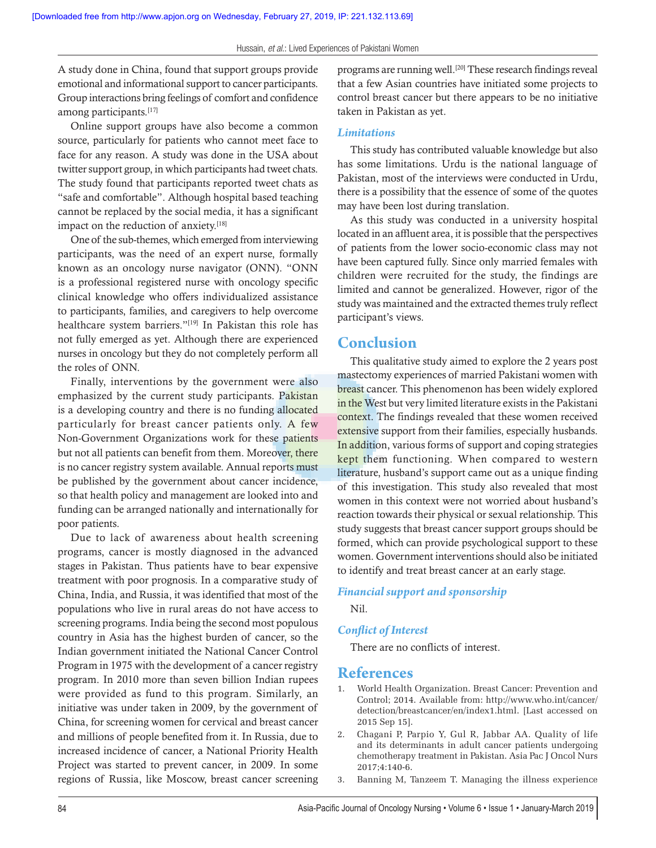A study done in China, found that support groups provide emotional and informational support to cancer participants. Group interactions bring feelings of comfort and confidence among participants.<sup>[17]</sup>

Online support groups have also become a common source, particularly for patients who cannot meet face to face for any reason. A study was done in the USA about twitter support group, in which participants had tweet chats. The study found that participants reported tweet chats as "safe and comfortable". Although hospital based teaching cannot be replaced by the social media, it has a significant impact on the reduction of anxiety.<sup>[18]</sup>

One of the sub-themes, which emerged from interviewing participants, was the need of an expert nurse, formally known as an oncology nurse navigator (ONN). "ONN is a professional registered nurse with oncology specific clinical knowledge who offers individualized assistance to participants, families, and caregivers to help overcome healthcare system barriers."<sup>[19]</sup> In Pakistan this role has not fully emerged as yet. Although there are experienced nurses in oncology but they do not completely perform all the roles of ONN.

Finally, interventions by the government were also emphasized by the current study participants. Pakistan is a developing country and there is no funding allocated particularly for breast cancer patients only. A few Non-Government Organizations work for these patients but not all patients can benefit from them. Moreover, there is no cancer registry system available. Annual reports must be published by the government about cancer incidence, so that health policy and management are looked into and funding can be arranged nationally and internationally for poor patients.

Due to lack of awareness about health screening programs, cancer is mostly diagnosed in the advanced stages in Pakistan. Thus patients have to bear expensive treatment with poor prognosis. In a comparative study of China, India, and Russia, it was identified that most of the populations who live in rural areas do not have access to screening programs. India being the second most populous country in Asia has the highest burden of cancer, so the Indian government initiated the National Cancer Control Program in 1975 with the development of a cancer registry program. In 2010 more than seven billion Indian rupees were provided as fund to this program. Similarly, an initiative was under taken in 2009, by the government of China, for screening women for cervical and breast cancer and millions of people benefited from it. In Russia, due to increased incidence of cancer, a National Priority Health Project was started to prevent cancer, in 2009. In some regions of Russia, like Moscow, breast cancer screening

programs are running well.<sup>[20]</sup> These research findings reveal that a few Asian countries have initiated some projects to control breast cancer but there appears to be no initiative taken in Pakistan as yet.

#### *Limitations*

This study has contributed valuable knowledge but also has some limitations. Urdu is the national language of Pakistan, most of the interviews were conducted in Urdu, there is a possibility that the essence of some of the quotes may have been lost during translation.

As this study was conducted in a university hospital located in an affluent area, it is possible that the perspectives of patients from the lower socio‑economic class may not have been captured fully. Since only married females with children were recruited for the study, the findings are limited and cannot be generalized. However, rigor of the study was maintained and the extracted themes truly reflect participant's views.

#### **Conclusion**

This qualitative study aimed to explore the 2 years post mastectomy experiences of married Pakistani women with breast cancer. This phenomenon has been widely explored in the West but very limited literature exists in the Pakistani context. The findings revealed that these women received extensive support from their families, especially husbands. In addition, various forms of support and coping strategies kept them functioning. When compared to western literature, husband's support came out as a unique finding of this investigation. This study also revealed that most women in this context were not worried about husband's reaction towards their physical or sexual relationship. This study suggests that breast cancer support groups should be formed, which can provide psychological support to these women. Government interventions should also be initiated to identify and treat breast cancer at an early stage.

#### *Financial support and sponsorship*

Nil.

#### *Conflict of Interest*

There are no conflicts of interest.

### **References**

- 1. World Health Organization. Breast Cancer: Prevention and Control; 2014. Available from: http://www.who.int/cancer/ detection/breastcancer/en/index1.html. [Last accessed on 2015 Sep 15].
- 2. Chagani P, Parpio Y, Gul R, Jabbar AA. Quality of life and its determinants in adult cancer patients undergoing chemotherapy treatment in Pakistan. Asia Pac J Oncol Nurs 2017;4:140‑6.
- 3. Banning M, Tanzeem T. Managing the illness experience